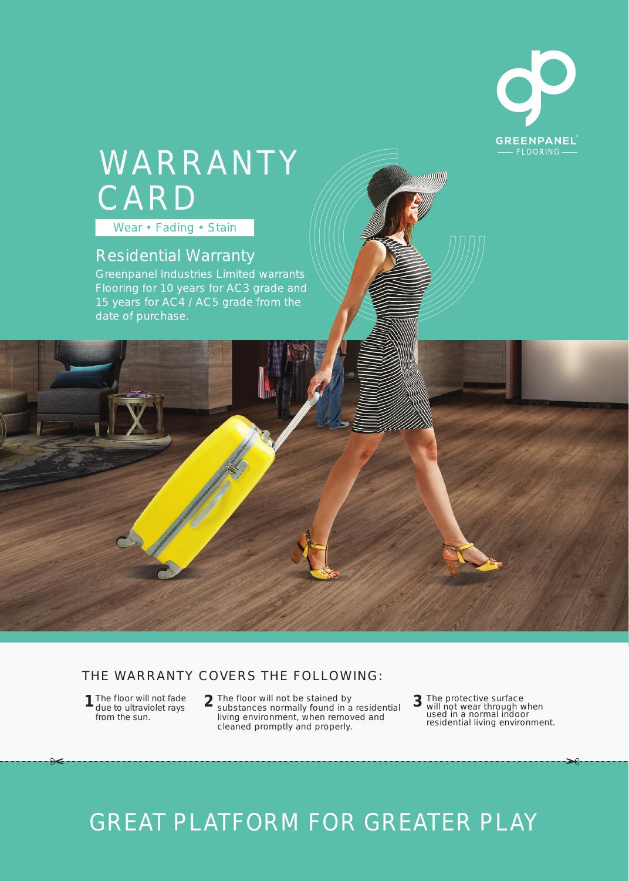

## Wear • Fading • Stain WARRANTY CARD

### Residential Warranty

Flooring for 10 years for AC3 grade and 15 years for AC4 / AC5 grade from the date of purchase.

#### THE WARRANTY COVERS THE FOLLOWING:

1 The floor will not fade due to ultraviolet rays from the sun.

**1** The floor will not fade  $\overline{2}$  The floor will not be stained by  $\overline{3}$ substances normally found in a residential living environment, when removed and cleaned promptly and properly.

The protective surface will not wear through when used in a normal indoor residential living environment.

## GREAT PLATFORM FOR GREATER PLAY